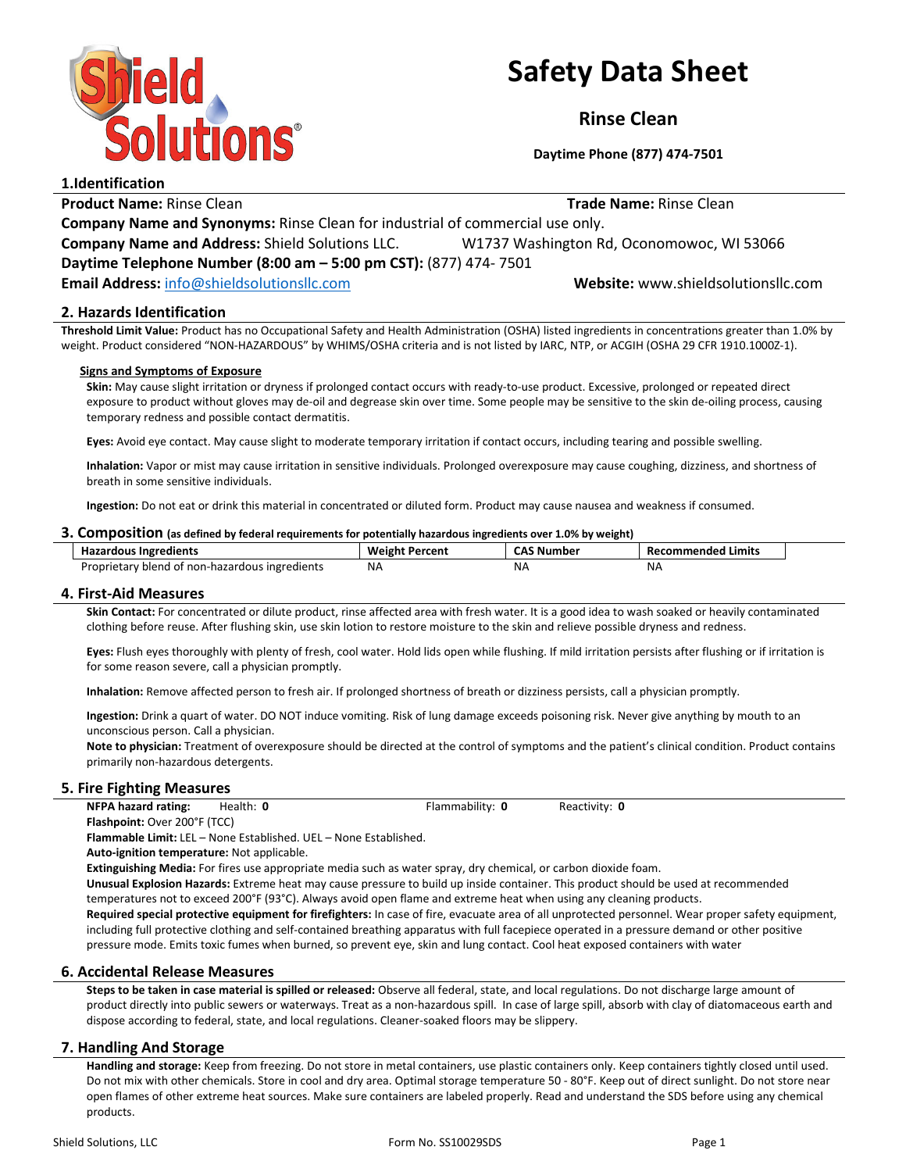

# Safety Data Sheet

Rinse Clean

Daytime Phone (877) 474-7501

1.Identification **Product Name:** Rinse Clean **Name: Rinse Clean** Trade Name: Rinse Clean Company Name and Synonyms: Rinse Clean for industrial of commercial use only. Company Name and Address: Shield Solutions LLC. W1737 Washington Rd, Oconomowoc, WI 53066 Daytime Telephone Number (8:00 am – 5:00 pm CST): (877) 474- 7501 Email Address: info@shieldsolutionsllc.com Website: www.shieldsolutionsllc.com

# 2. Hazards Identification

Threshold Limit Value: Product has no Occupational Safety and Health Administration (OSHA) listed ingredients in concentrations greater than 1.0% by weight. Product considered "NON-HAZARDOUS" by WHIMS/OSHA criteria and is not listed by IARC, NTP, or ACGIH (OSHA 29 CFR 1910.1000Z-1).

### Signs and Symptoms of Exposure

Skin: May cause slight irritation or dryness if prolonged contact occurs with ready-to-use product. Excessive, prolonged or repeated direct exposure to product without gloves may de-oil and degrease skin over time. Some people may be sensitive to the skin de-oiling process, causing temporary redness and possible contact dermatitis.

Eyes: Avoid eye contact. May cause slight to moderate temporary irritation if contact occurs, including tearing and possible swelling.

Inhalation: Vapor or mist may cause irritation in sensitive individuals. Prolonged overexposure may cause coughing, dizziness, and shortness of breath in some sensitive individuals.

Ingestion: Do not eat or drink this material in concentrated or diluted form. Product may cause nausea and weakness if consumed.

### 3. Composition (as defined by federal requirements for potentially hazardous ingredients over 1.0% by weight)

| izardous Ingredients                           | Percent | Number | ecommended Limits |
|------------------------------------------------|---------|--------|-------------------|
| пd,                                            | Weight  |        | KP <sup>r</sup>   |
| Proprietary blend of non-hazardous ingredients | NA.     | - Na   | ΝA                |
|                                                |         |        |                   |

## 4. First-Aid Measures

Skin Contact: For concentrated or dilute product, rinse affected area with fresh water. It is a good idea to wash soaked or heavily contaminated clothing before reuse. After flushing skin, use skin lotion to restore moisture to the skin and relieve possible dryness and redness.

Eyes: Flush eyes thoroughly with plenty of fresh, cool water. Hold lids open while flushing. If mild irritation persists after flushing or if irritation is for some reason severe, call a physician promptly.

Inhalation: Remove affected person to fresh air. If prolonged shortness of breath or dizziness persists, call a physician promptly.

Ingestion: Drink a quart of water. DO NOT induce vomiting. Risk of lung damage exceeds poisoning risk. Never give anything by mouth to an unconscious person. Call a physician.

Note to physician: Treatment of overexposure should be directed at the control of symptoms and the patient's clinical condition. Product contains primarily non-hazardous detergents.

## 5. Fire Fighting Measures

NFPA hazard rating: Health: 0 Flammability: 0 Reactivity: 0 Flashpoint: Over 200°F (TCC)

Flammable Limit: LEL – None Established. UEL – None Established.

Auto-ignition temperature: Not applicable.

Extinguishing Media: For fires use appropriate media such as water spray, dry chemical, or carbon dioxide foam.

Unusual Explosion Hazards: Extreme heat may cause pressure to build up inside container. This product should be used at recommended temperatures not to exceed 200°F (93°C). Always avoid open flame and extreme heat when using any cleaning products.

Required special protective equipment for firefighters: In case of fire, evacuate area of all unprotected personnel. Wear proper safety equipment, including full protective clothing and self-contained breathing apparatus with full facepiece operated in a pressure demand or other positive pressure mode. Emits toxic fumes when burned, so prevent eye, skin and lung contact. Cool heat exposed containers with water

## 6. Accidental Release Measures

Steps to be taken in case material is spilled or released: Observe all federal, state, and local regulations. Do not discharge large amount of product directly into public sewers or waterways. Treat as a non-hazardous spill. In case of large spill, absorb with clay of diatomaceous earth and dispose according to federal, state, and local regulations. Cleaner-soaked floors may be slippery.

## 7. Handling And Storage

Handling and storage: Keep from freezing. Do not store in metal containers, use plastic containers only. Keep containers tightly closed until used. Do not mix with other chemicals. Store in cool and dry area. Optimal storage temperature 50 - 80°F. Keep out of direct sunlight. Do not store near open flames of other extreme heat sources. Make sure containers are labeled properly. Read and understand the SDS before using any chemical products.